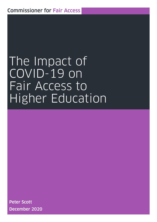# The Impact of COVID-19 on Fair Access to Higher Education Report by the Commissioner for Fair Access

Peter Scott December 2020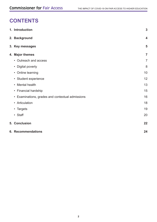#### CONTENTS **CONTENTS**

| 1. Introduction                                  | $\mathbf{3}$   |
|--------------------------------------------------|----------------|
| 2. Background                                    | 4              |
| 3. Key messages                                  | 5              |
| 4. Major themes                                  | $\overline{7}$ |
| • Outreach and access                            | $\overline{7}$ |
| • Digital poverty                                | 8              |
| • Online learning                                | 10             |
| • Student experience                             | 12             |
| • Mental health                                  | 13             |
| • Financial hardship                             | 15             |
| • Examinations, grades and contextual admissions | 16             |
| • Articulation                                   | 18             |
| • Targets                                        | 19             |
| • Staff                                          | 20             |
| 5. Conclusion                                    | 22             |
| 6. Recommendations                               | 24             |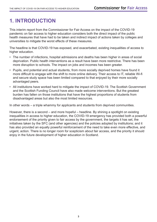# **1. INTRODUCTION**

This interim report from the Commissioner for Fair Access on the impact of the COVID-19 pandemic on fair access to higher education considers both the direct impact of the public hnr 2anallo health measures that have had to be taken and indirect impact of actions taken by colleges and<br>health measures that have had to be taken and indirect impact of actions taken by colleges and universities to mitigate the worst effects of these measures.

The headline is that COVID-19 has exposed, and exacerbated, existing inequalities of access to higher education.

- The number of infections, hospital admissions and deaths has been higher in areas of social deprivation. Public health interventions as a result have been more restrictive. There has been more disruption to schools. The impact on jobs and incomes has been greater.
- Pupils, and potential and actual students, from more socially deprived homes have found it more difficult to engage with the shift to more online delivery. Their access to IT, reliable Wi-fi and secure study space has been limited compared to that enjoyed by their more socially advantaged peers.
- All institutions have worked hard to mitigate the impact of COVID-19. The Scottish Government and the Scottish Funding Council have also made welcome interventions. But the greatest burden has fallen on those institutions that have the highest proportions of students from disadvantaged areas but also the most limited resources.

In other words – a triple whammy for applicants and students from deprived communities.

However, there is a second – and more hopeful – headline. By shining a spotlight on existing inequalities in access to higher education, the COVID-19 emergency has provided both a powerful endorsement of the priority given to fair access by the government, the targets it has set, the initiatives taken by the SFC (and other agencies) and the policies adopted by institutions; and it has also provided an equally powerful reinforcement of the need to take even more effective, and urgent, action. There is no longer room for scepticism about fair access, and the priority it should enjoy in the future development of higher education in Scotland.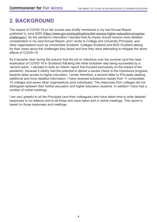#### **2. BACKGROUND**  $\mathbf{f}$   $\mathbf{f}$   $\mathbf{f}$   $\mathbf{f}$   $\mathbf{f}$   $\mathbf{f}$   $\mathbf{f}$

The impact of COVID-19 on fair access was briefly mentioned in my last Annual Report published in June 2020 ([https://www.gov.scot/publications/fair-access-higher-education-progress](https://www.gov.scot/publications/fair-access-higher-education-progress-challenges/)[challenges/](https://www.gov.scot/publications/fair-access-higher-education-progress-challenges/)). As the pandemic intensified I decided that its impact should receive more detailed **Examing Constitute Formis Interformer Processes** matrix in pact checker receive increase actually other organisations such as Universities Scotland, Colleges Scotland and NUS Scotland asking for their views about the challenges they faced and how they were attempting to mitigate the worst effects of COVID-19.

As it became clear during the autumn that the lull on infections over the summer (and the neareradication of COVID-19 in Scotland) following the initial lockdown was being succeeded by a 'second wave', I decided to write an interim report that focused exclusively on the impact of the pandemic, because it clearly had the potential to deliver a severe check to the impressive progress towards fairer access to higher education. I wrote, therefore, a second letter to Principals seeking additional and more detailed information. I have received substantive replies from 11 universities, 10 colleges and seven other organisations (and individuals). The responses from colleges did not distinguish between their further education and higher education students. In addition I have had a number of online meetings.

I am very grateful to all the Principals (and their colleagues) who have taken time to write detailed responses to my letter(s) and to all those who have taken part in online meetings. This report is based on those responses and meetings.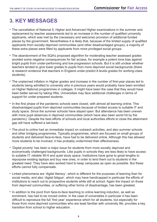# **3. KEY MESSAGES**

- The cancellation of National 5, Higher and Advanced Higher examinations in the summer and replacement by teacher assessments led to an increase in the number of qualified university applicants, which was met by the (necessary and welcome) provision of additional funded eppressive, mission as the computation of the correction processes processes by the government. Nevertheless it is likely that, because of the limited supply of qualified applicants from socially deprived communities (and other disadvantaged groups), a majority of these extra places were filled by applicants from more privileged social groups.
- The abandonment of the SQA's proposed algorithm for moderating teacher assessed grades avoided some negative consequences for fair access, for example a potent Iona bias against bright pupils from under-performing and low-progression schools. But it is still unclear whether teachers tended to give lower grades to pupils from more deprived social backgrounds (there is research evidence that teachers in England under-predict A levels grades for working-class students).
- The unplanned inflation in Higher grades and increase in the number of first-year places led to students being admitted to university who in previous years would probably have been enrolled on Higher National programmes in colleges. It might have been the case that they would have been better served by taking HNs. Universities may face additional challenges in terms of support for under-prepared students.
- In the first phase of the pandemic schools were closed, with almost all learning online. This disadvantaged pupils from deprived communities because of limited access to suitable IT and study space. Since the summer schools have stayed open. But attendance has been uneven with more pupil absences in deprived communities (which have also been worst hit by the pandemic). Despite the best efforts of schools and local authorities efforts to close the attainment gap will have suffered a set-back.
- The pivot to online had an immediate impact on outreach activities, and also summer schools and other bridging programmes. Typically programmes, which are focused on small groups of students and delivered face-to-face, have had to be delivered online. Although this has allowed more students to be involved, it has probably undermined their effectiveness.
- 'Digital poverty' has been a major issue for students from more socially deprived and economically challenged backgrounds. Like pupils in schools they are less likely to have access to suitable IT, reliable Wi-fi and quiet study space. Institutions have gone to great lengths to repurpose existing laptops and buy new ones, in order to lend them out to students in the greatest need. They have also worked hard to keep campuses as open as possible. But these efforts cannot fully compensate.
- Linked phenomena are 'digital literacy', which is different for the purposes of learning than for social media, and also 'digital fatigue', which may have handicapped in particular the efforts of institutions to reach out to prospective students while still at school. Again the impact on those from deprived communities, or suffering other forms of disadvantage, has been greatest.
- In addition to the pivot from face-to-face teaching to online learning induction, as well as enrolment, has had to be moved online. In the case of universities in particular it has been difficult to reproduce the full 'first year' experience which for all students, but especially for those from more deprived communities who are least familiar with university life, provides a key transition from school to higher education.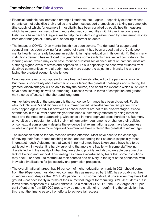- Financial hardship has increased among all students, but again especially students whose parents cannot subsidise their studies and who must support themselves by taking part-time jobs (the supply of which, for example in hospitality, has been curtailed by public health measures which have been most restrictive in more deprived communities with higher infection rates).  $\Box$ Institutions have paid out large sums to help the students in greatest need by transferring money from other budgets or, if they can, appealing to former students.
	- The impact of COVID-19 on mental health has been severe. The demand for support and counselling has been growing for a number of years (it has been argued that pre-Covid poor mental health had already become an epidemic in higher education in its own right). But in many institutions demand has exploded this year. While some students have settled comfortably into learning online, which may even have reduced stressful social encounters on campus, most are suffering higher levels of stress and depression. This is especially the case with students from deprived communities, who already needed more support to adjust to university life and are facing the greatest economic challenges.
	- Continuation rates do not appear to have been adversely affected by the pandemic so far. But there is uncertainty about whether students facing the greatest challenges and suffering the greatest disadvantages will be able to stay the course, and about the extent to which all students have been 'learning' as well as 'attending'. Success rates, in terms of completion and grades, may also be affected, in the short and long term.
	- An inevitable result of the pandemic is that school performance has been disrupted. Pupils who took National 5 and Highers in the summer gained better-than-expected grades, which may happen again in 2021 if next year's school leavers are not to be disadvantaged. School attendance in the current academic year has been substantially affected by rising infection rates and the need for quarantining, with schools in more deprived areas hardest hit. But many universities are reluctant to revisit their minimum entry requirements or change their policies on contextual admissions – despite the evidence that examination grades have become less reliable and pupils from more deprived communities have suffered the greatest disadvantage.
	- The impact on staff so far has received limited attention. Most have risen to the challenge of moving their face-to-face teaching online, and supporting their students (especially those in greatest need). Adjustments that would in normal times have taken years have had to be achieved within weeks. It is hardly surprising that morale is fragile, with some staff feeling dissatisfied with the quality of what they are able to provide and also vulnerable because of a lack of training and support. This feeling has been exacerbated by fears that some institutions may seek – or need – to restructure their courses and delivery in the light of the pandemic, with inevitable implications for job security and promotion prospects.
	- The overall national target, that 16 per cent of higher education entrants in 2021 should come from the 20-per-cent most deprived communities as measured by SIMD, has probably not been in serious doubt despite the COVID-19 pandemic. But some individual universities may have lost ground – not necessarily in terms of their numerical targets for recruiting SIMD20 students but in terms of the proportion of SIMD20 entrants. As a result of COVID-19 the 2026 target, of 18 per cent of entrants from SIMD20 areas, may be more challenging – confirming the conviction that this is not the time to ease off on efforts to achieve fair access.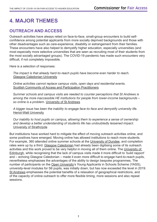# **4. MAJOR THEMES**

#### **OUTREACH AND ACCESS**

G2 8LU Outreach activities have always relied on face-to-face, small-group encounters to build selfconfidence among potential applicants from more socially deprived backgrounds and those with other disadvantages such as care-experience, disability or estrangement from their families. These encounters have also helped to demystify higher education, especially universities (and most especially more selective universities that are seen as recruiting most of their students from the most socially advantaged groups). The COVID-19 pandemic has made such encounters very difficult, if not completely impossible.

Here is a selection of responses:

*The impact is that already hard-to-reach pupils have become even harder to reach.*  Glasgow Caledonian University

*Online activities cannot replace campus visits, open days and residential events.* Scottish Community of Access and Participation Practitioners

*Summer schools and campus visits are needed to counter perceptions that St Andrews is among the more inaccessible HE institutions for people from lower-income backgrounds – so online is a problem.* University of St Andrews

*A bigger issue has been the inability to engage face-to-face and demystify university life.* Heriot-Watt University

*Our inability to host pupils on campus, allowing them to experience a sense of ownership and develop a better understanding of students life has undoubtedly lessened impact.* University of Strathclyde

But institutions have worked hard to mitigate the effect of moving outreach activities online, and some positives have emerged. Moving online has allowed institutions to reach more students. For example, 360 attended online summer schools at the University of Dundee, and completion rates were up by a third. Glasgow Caledonian had already been digitising some of its outreach activities and this work proved to be very helpful in moving all of them online. The University of Edinburgh, while recognising that the lack of campus visits made it more difficult to 'build rapport' and – echoing Glasgow Caledonian – made it even more difficult to engage hard-to-reach pupils, nevertheless emphasises the advantages of the ability to design bespoke programmes. The number of participants on the Open University's Young Applicants in Schools Scheme (YASS), university-level modules for S6 pupils, was initially down, but has now exceeded the level in 2019. St Andrews emphasises the potential benefits of a relaxation of geographical restrictions, and of the capacity of online outreach to offer more flexible timing, more sessions and also repeat sessions.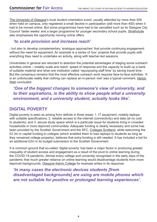The University of Glasgow's local student orientation event, usually attended by more than 500 when held on campus, only registered a small decline in participation (still more than 400) when it had to be moved online. But some programmes have had to be cancelled such as its Glasgow City Council 'taster weeks' and a larger programme for younger secondary school pupils. Strathclyde aleo also emphasises the opportunity moving online offers

### 'to scale provision and increase reach<sup>'</sup>

- but also to develop complementary 'analogue approaches' that provide continuing engagement without the need for equipment. An example is a series of 'box' projects that provide pupils with everything they need to undertake an activity, along with teacher-led sessions.

Universities in general are reluctant to abandon the potential advantages of staging some outreach activities online – notably scale and reach, speed of response and the capacity to build up a bank of suitable material and what one institution called 'repurposing staff time' by saving travel time. But the consensus remains that the most effective outreach work requires face-to-face activities. 'It is an unfortunate reality that nothing can replace an in-person visit' was a typical comment. Heriot-Watt concluded:

*'One of the biggest changes to someone's view of university, and to their aspirations, is the ability to show people what a university environment, and a university student, actually looks like'.* 

#### **DIGITAL POVERTY**

Digital poverty is seen as arising from deficits in three areas: 1. IT equipment, notably laptops with suitable specifications; 2. reliable access to the internet (connectivity) and data (at no cost to students); and 3. secure study space which is a particular issue for students living in crowded households in more deprived communities. Adequate funding is clearly necessary and some has been provided by the Scottish Government and the SFC. Colleges Scotland, while welcoming the £2.3m in capital funding to colleges (which enabled them to loan laptops to students as long as they remained college property), believes that extra funding is still needed. It has included a bid for an additional £2m in its budget submission to the Scottish Government.

It is common ground that so-called 'digital poverty' has been a major factor in producing greater inequality of student access and engagement as a result of the pivot to online learning during the COVID-19 pandemic. Almost every college and university recognised in the early days of the pandemic that much greater reliance on online learning would disadvantage students from more deprived backgrounds. Glasgow Kelvin College for example writes in its response:

*'In many cases the electronic devices students [from disadvantaged backgrounds] are using are mobile phones which are not suitable for positive or prolonged learning experiences'.*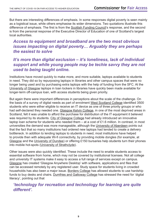But there are interesting differences of emphasis. In some responses digital poverty is seen mainly as a logistical issue, while others emphasise its wider dimensions. Two quotations illustrate this difference of emphasis. The first is from the Scottish Funding Council's response, and the second is from the personal response of the Executive Director of Education of one of Scotland's largest local authorities.

### **Access to equipment and broadband are the two most obvious** *issues impacting on digital poverty… Arguably they are perhaps the easiest to solve*

#### *It's more than digital exclusion – it's loneliness, lack of individual support and while young people may be techie savvy they are not used to being taught online.*

Institutions have moved quickly to make more, and more suitable, laptops available to students in need. They did so by repurposing laptops in libraries and other campus spaces that were no longer being used and by purchasing extra laptops with the help of funding from the SFC. At the University of Glasgow laptops in loan lockers in libraries have quickly been made available for longer-term off-campus loan, with access students being given priority.

But again there were important differences in perceptions about the scale of the challenge. On the basis of a survey of digital needs as part of enrolment West Scotland College identified 3500 students who were either eligible to receive an IT device as one of three priority groups or who had self-declared they needed one. Glasgow Kelvin College, in one of the most deprived areas in Scotland, felt it was unable to afford the purchase for distribution of the IT equipment it believed was required by its students. City of Glasgow College had already introduced an innovative laptop loan scheme for students who needed them – at a cost of £1.6 million. In contrast, in most universities the demand was more manageable, although the University of Aberdeen points out that the fact that so many institutions had ordered new laptops had tended to create a delivery bottleneck. In addition to lending laptops to students in need, most institutions have helped to provide then with adequate Wi-fi connectivity, by providing mobile dongles (for example, at Glasgow and the University of Dundee) or offering £150 bursaries help students turn their phones into mobile hot-spots (University of Strathclyde).

Other issues were also quickly identified. These include the need to enable students access to essential software from home, which may not be covered by institutional licenses. Not all college and university IT systems make it easy to access a full range of services except on campus. Glasgow has created 'Glasgow Anywhere Desktop' with software, applications and files that can be accessed remotely by any registered user. Study space for students living in crowded households has also been a major issue. Borders College has allowed students to use hardship funds to buy desks and chairs. Dumfries and Galloway College has stressed the need for 'digital literacy', pointing out that

*'technology for recreation and technology for learning are quite different'.*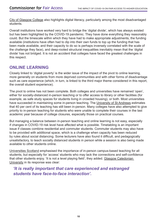City of Glasgow College also highlights digital literacy, particularly among the most disadvantaged students.

Overall institutions have worked very hard to bridge the 'digital divide', which has always existed but has been highlighted by the COVID-19 pandemic. They have done everything they reasonably t: 0131 244 1266 1266 1274 1286 1297 1298 1299 1294 1294 1295 1296 1296 1297 1298 1298 1299 1299 129<br>District of the United States of the United States of the United States of the United States of the United Sta could. But the timescale within which they have had to make appropriate adjustments, the funding available (institutions have often had to dip into their own funds to top up the funding that has been made available, and their capacity to do so is perhaps inversely correlated with the scale of the challenge they face), and deep-rooted structural inequalities inevitably mean that the 'digital divide' has not bridged. It is not an accident that colleges have faced the greatest challenges in this respect.

#### **ONLINE LEARNING**

Closely linked to 'digital poverty' is the wider issue of the impact of the pivot to online learning, more generally on students from more deprived communities and with other forms of disadvantage such as care experience (which, in turn, is linked to the third major theme considered in this report, the overall student experience).

The pivot to online has not been complete. Both colleges and universities have remained 'open', either for socially-distanced in-person teaching or to offer access to library or other facilities (for example, as safe study spaces for students living in crowded housing), or both. Most universities have succeeded in maintaining some in-person teaching. The University of St Andrews estimates that 40 per cent of its teaching has still been in-person. Many colleges have also attempted to give priority to in-person teaching for students who were unable to complete their courses in the last academic year because of college closures, especially those on practical courses.

But managing a balance between in-person teaching and online learning is not easy, especially if changes in COVID-19 risk level have affected what is possible. Timetabling is an important issue if classes combine residential and commuter students. Commuter students may also have to be provided with additional space, which is a challenge when capacity has been reduced by rules about social distancing. Some lecturers have also found it difficult, and pedagogically unsatisfactory, to teach socially distanced students in person while a session is also being made available to other students online.

Universities Scotland emphasised the importance of in-person campus-based teaching for all students, but especially for 'access' students who may lack the connections and self-confidence that other students enjoy. 'It is not a level playing field', they added. Glasgow Caledonian University in its response was clear:

#### *'It is really important that care experienced and estranged students have face-to-face interaction'.*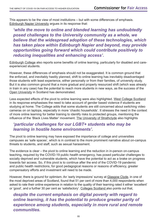This appears to be the view of most institutions – but with some differences of emphasis. **Edinburgh Napier University argues in its response that:** 

*'while the move to online and blended learning has undoubtedly*  $nmII$ T: 0131 244 1266 *posed challenges to the University community as a whole, we*  believe that the widespread adoption of these technologies, which *has taken place within Edinburgh Napier and beyond, may provide opportunities going forward which could contribute positively to reducing inequalities and enhancing access'.* 

Edinburgh College also reports some benefits of online learning, particularly for disabled and careexperienced students.

However, these differences of emphasis should not be exaggerated. It is common ground that the enforced, and inevitably hastily planned, shift to online learning has inevitably disadvantaged those students with least experience, either personally or from their families, of university study. But it is also common ground that a more gradual and properly resourced shift (which was already in train in any case) has the potential to reach more students in new ways, as the success of the Open University in Scotland has demonstrated.

Less expected effects of the pivot to online learning were also highlighted. West College Scotland in its response emphasises the need to take account of gender based violence if students are studying at home. The College adds that some students are still concerned about switching video cameras on on laptops, especially in more 'chaotic households'. It stresses the need in the context of more online learning for better training to identify risks to protected groups, mentioning the influence of the 'Black Lives Matter' movement. The University of Strathclyde also highlights

#### *'particular challenges for our LGBT+ students who may be learning in hostile home environments'.*

The pivot to online learning may have exposed the importance of college and universities campuses as 'safe spaces', which is in contrast to the more prominent narrative about on-campus threats to students, and staff, such as sexual harassment.

The evidence is clear – the pivot to online learning and the reduction in in-person on-campus teaching, required by the COVID-19 public health emergency, has posed particular challenges to socially deprived and vulnerable students, which have the potential to act as a brake on progress towards fair access. So, if this pivot is to continue after the end of the COVID-19 pandemic and public health restrictions, for good pedagogical reasons or reasons of efficiency, greater compensatory efforts and investment will need to be made.

However, there is ground for optimism. An 'early impressions' survey at Glasgow Clyde, in one of the most deprived areas of Scotland, found that 51 per cent of more than 4,000 respondents when asked to rate their online experience in relation to the quality of their learning rated it either 'excellent' or 'good', and a further 30 per cent as 'satisfactory'. Colleges Scotland also points out that,

*despite the current emphasis on digital poverty with regard to online learning, it has the potential to produce greater parity of experience among students, especially in more rural and remote communities.*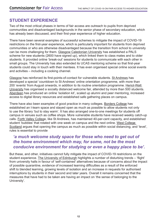### **STUDENT EXPERIENCE**

Two of the most critical phases in terms of fair access are outreach to pupils from deprived communities and disadvantaged backgrounds in the senior phase of secondary education, which has already been discussed, and their first-year experience of higher education.

There have been several examples of successful schemes to mitigate the impact of COVID-19 restrictions on the first-year experience, which is particularly important for students from deprived communities or who are otherwise disadvantaged because the transition from school to university can be more challenging for them. Glasgow Caledonian University has established a PALS scheme for new students (2600 have signed up), which linked them to class mates and to older students. It provided online 'break-out' sessions for students to communicate with each other in small groups. The University has also extended its UCAS mentoring scheme so that first-year students could stay in touch with their mentees. It has even organised special online social events and activities – including a cooking channel.

Glasgow has reinforced its first-points-of-contact for vulnerable students. St Andrews has developed a special 'countdown to St Andrews' online orientation programme, with more than 200 'events' from August onwards, in addition to its routine orientation programme. Heriot-Watt University has organised a socially distanced welcome fair, attended by more than 500 students. Aberdeen has produced an online 'isolation kit', scaled up alumni and peer mentoring, increased access to digital library resources and established safe gathering places on campus.

There have also been examples of good practice in many colleges. Borders College has established an I-learn space and stayed open as much as possible to allow students not only to use the library 'but to stay warm'. It has also arranged one-to-one meetings for students off campus in venues such as coffee shops. More vulnerable students have received weekly catch-up calls. Forth Valley College, like St Andrews, has maintained 40-per-cent capacity, and established student 'bubbles' that rotated with one week on campus and the next online. West College Scotland argues that opening the campus as much as possible within social distancing, and 'level', rules is essential to provide

#### *'a much welcome study space for those who need to get out of the home environment which may, for some, not be the most conducive environment for studying or even a happy place to be'.*

But these, and other, initiatives cannot fully mitigate the impact of COVID-19 restrictions on the student experience. The University of Edinburgh highlights a number of disturbing trends – 'flight' from university halls in favour of 'self-contained' alternatives because of concerns about the impact of possible quarantine, evidence of increased learning difficulties as a result of the enforced shift to blended learning, growing levels of isolation and an increase in requests for authorised interruptions by students in their second and later years. Overall it remains concerned that the measures that have had to be taken are having an impact on 'the sense of belonging to the University'.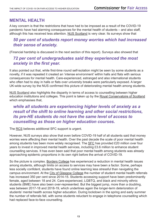#### **MENTAL HEALTH**

A key concern is that the restrictions that have had to be imposed as a result of the COVID-19 pandemic have had alarming consequences for the mental health of students – and also staff, although this has received less attention. NUS Scotland is very clear. Its surveys show that

#### 50 per cent of students report money worries which had increased *their sense of anxiety.*

(Financial hardship is discussed in the next section of this report). Surveys also showed that

#### *72 per cent of undergraduates said they experienced the most anxiety in the first year.*

It also pointed out that, while first-time round self-isolation might be seen by some students as a novelty, if it was repeated it created an 'intense environment' within halls and flats with serious consequences for mental health. Care-experienced, estranged and also international students who often had to stay in halls or flats over university breaks were particularly exposed. A larger UK-wide survey by the NUS confirmed this picture of deteriorating mental health among students.

NUS Scotland also highlights the disparity in terms of access to counselling between higher education institutions and colleges. This point is taken up by the Royal Conservatoire of Scotland which emphasises that,

*while all students are experiencing higher levels of anxiety as a result of the shift to online learning and other social restrictions, its pre-HE students do not have the same level of access to counselling as those on higher education courses.* 

The RCS believes additional SFC support is urgent.

However, NUS surveys also show that even before COVID-19 half of all students said that money worries were affecting their mental health. Over the past decade the scale of poor mental health among students has been more widely recognised. The SFC has provided £20 million over four years to invest in improved mental health services, including £3.6 million to enhance student counselling services. It has even been said that poor mental health among students was already approaching epidemic proportions in its own right before the arrival of COVID-19.

So the picture is complex. Borders College has experienced a reduction in mental health issues among students, although limits on access to services may have been a factor. Some, perhaps less socially confident, students have found online learning less stressful than navigating the campus environment. At the City of Glasgow College the number of student mental health referrals has increased 350 per cent since 2014-15. Students accessing support have been predominantly female, aged between 18 and 24. Care-experienced, LGBTQ, and black and minority ethnic students (BME) have also been over-represented. But the biggest jump, more than a doubling, was between 2017-18 and 2018-19, which underlines again the longer-term deterioration of students' mental health across higher education. During lockdown in the spring and early summer the number of referrals fell, with some students reluctant to engage in telephone counselling which had replaced face-to-face counselling.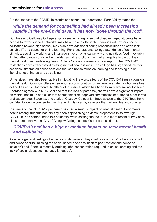But the impact of the COVID-19 restrictions cannot be understated. Forth Valley states that,

#### $\mathbb{R}^n$ while the demand for counselling had already been increasing *rapidly in the pre-Covid days, it has now 'gone through the roof'.*

 $\sim$  0.11  $\sim$  0.11  $\sim$  0.11  $\sim$ Dumfries and Galloway College emphasises in its response that disadvantaged students have access to fewer support networks, may have no one else in their families with experience of education beyond high school, may also have additional caring responsibilities and often lack suitable IT and space for online learning. For these students college attendance offers mental stimulus, social networking and interaction – even physical activity and nutritious food. Inevitably limited attendance combined with wider social restrictions has had a negative impact of their mental health and well-being. West College Scotland makes a similar report. The COVID-19 restrictions have exacerbated existing mental health issues. The college has organised 'blether sessions', timetabled online sessions focused not so much on learning and teaching but on 'bonding, opening-up and socialising'.

Universities have also been active in mitigating the worst effects of the COVID-19 restrictions on mental health. Glasgow offers emergency accommodation for vulnerable students who have been defined as at risk, for mental health or other issues, which has been literally 'life-saving' for some. Aberdeen agrees with NUS Scotland that the loss of part-time jobs will have a significant impact on mental health, in particular that of students from deprived communities or suffering other forms of disadvantage. Students, and staff, at Glasgow Caledonian have access to the 24/7 TogetherAll confidential online counselling service, which is used by several other universities and colleges.

In summary, the COVID-19 pandemic has had a serious impact on mental health. Poor mental health among students had already been approaching epidemic proportions in its own right. COVID-19 has compounded this epidemic, while shifting the focus. In a more recent survey of 50 class representatives at City of Glasgow College almost 90 per cent said that,

#### *COVID-19 had had a high or medium impact on their mental health and well-being.*

Alongside general feelings of anxiety and depression they cited 'loss of focus' (a loss of control and sense of drift), 'missing the social aspects of class' (lack of peer contact and sense of isolation') and 'Zoom is mentally draining' (the concentration required in online learning and the lack of social clues, such as body language).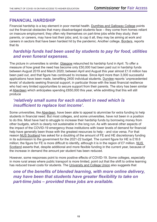#### **FINANCIAL HARDSHIP**

Financial hardship is a key element in poor mental health. Dumfries and Galloway College points out the financial obstacles that many disadvantaged students face – they come from homes reliant on insecure employment; they often rely themselves on part-time jobs while they study; their parents, or careers, may have lost their jobs; and, to cap it all, they may be aiming at work and parents, or careers, may have been hardest hit by the pandemic. Another college, <u>Borders</u>, reports that its

#### *hardship funds had been used by students to pay for food, utilities and even funeral expenses.*

The picture in universities is similar. Glasgow relaunched its hardship fund in April. To offer a measure of how great the need has become only £50,000 had been paid out in hardship funds between August 2019 and March 2020; between April and August this year almost £1.6 million has been paid out, and that figure has continued to increase. Since April more than 3,000 successful applications have been made, benefiting 2400 individual students. Dundee reports 'unprecedented levels' of students seeking financial support, in particular those with the least financial resilience who had very limited opportunities to secure support from their parents. The story has been similar at Aberdeen which anticipates spending £650,000 this year, while admitting that this will still produce

#### *'relatively small sums for each student in need which is insufficient to replace lost income'.*

Some universities, like Aberdeen, have been able to appeal to alumni/ae for extra funding to help students in financial need. But most colleges, and some universities, have not been in a position to do this. Most have had to struggle to increase their hardship funds by borrowing money from other budgets, which is clearly not sustainable in the long run. As with several other aspects of the impact of the COVID-19 emergency those institutions with lower levels of demand for financial help have generally been those with the greatest resources to help – and vice versa. For that reason NUS Scotland has asked for a doubling of the amount of FE and HE discretionary funding in its submission to the government for the 2021-22 budget. The current figure for HE is £18.6 million; the figure for FE is more difficult to identify, although it is in the region of £7 million. NUS Scotland asserts that, despite additional and more flexible funding in the current year, because of the increase in demand the amount per student has been reduced.

However, some responses point to more positive effects of COVID-19. Some colleges, especially in more rural areas where public transport is more limited, point out that the shift to online learning has reduced travel costs for students. The University and College Union also suggests that

*one of the benefits of blended learning, with more online delivery, may have been that students have greater flexibility to take on part-time jobs – provided these jobs are available.*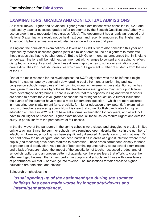### **EXAMINATIONS, GRADES AND CONTEXTUAL ADMISSIONS**

As is well known, Higher and Advanced Higher grade examinations were cancelled in 2020, and replaced by teacher assessed grades (after an attempt by the Scottish Qualifications Authority to use an algorithm to moderate these grades failed). The government had already announced that National 5 examinations would not be held next year, and recently announced that Higher and Advanced Higher examinations would also be cancelled for a second year.

In England the equivalent examinations, A levels and GCSEs, were also cancelled this year and replaced by teacher assessed grades (after a similar attempt to use an algorithm to moderate these grades also had to be abandoned). But the UK Government has announced that in England school examinations will be held next summer, but with changes to content and grading to reflect disrupted schooling. As a footnote – these different approaches to school examinations could create difficulties for Scottish universities which recruit significant number of students from the rest of the UK.

One of the main reasons for the revolt against the SQA's algorithm was the belief that it might 'bake in' disadvantage by potentially downgrading pupils from under-performing and lowprogression schools, regardless of their own individual achievements. Less attention so far has been given to an alternative hypothesis, that teacher-assessed grades may favour pupils from more advantaged backgrounds. There is evidence that this happens in England when teachers are asked to predict the A level grades of candidates for higher education. A further issue that the events of the summer have raised a more fundamental question – which are more accurate in measuring pupils' attainment (and, crucially, for higher education entry, potential), examination results or teacher assessed grades? Now it is clear that some Scottish candidates for higher education entrance in 2021 will not have sat a formal examination for two years, and all will not have taken Higher or Advanced Higher examinations, all these issues require urgent and detailed study, in particular from the perspective of fair access.

In the first wave of the pandemic in the spring schools were closed and struggled to provide limited online teaching. Since the summer schools have remained open, despite the rise in the number of infections. However, schooling has been significantly disrupted. Attendance is running at least 10 per cent below the usual figure, and has been hardest hit in areas of highest infection where more pupils (and teachers) have been required to quarantine. These areas correspond closely to those of greater social deprivation. As a result of both continuing uncertainty about school examinations and a lack of research about the impact of the substitution of teacher-assessed grades, and of school disruption, and an uneven pattern of attendance, there are fears that efforts to close the attainment gap between the highest performing pupils and schools and those with lower levels of performance will stall – or even go into reverse. The implications for fair access to higher education are both stark and obvious.

Edinburgh emphasises the

*'usual opening up of the attainment gap during the summer holidays has been made worse by longer shut-downs and intermittent attendance',*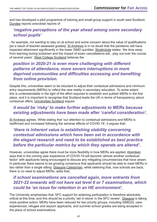and has developed a pilot programme of tutoring and small-group support in south east Scotland. Dundee reports anecdotal reports of

#### *'negative perceptions of the year ahead among some secondary school pupils'*

- for example, not wanting to stay on at school and some concern about the value of qualifications [as a result of teacher-assessed grades]. St Andrews is in no doubt that the pandemic will have impacted attainment significantly in the lower SIMD quintiles. Strathclyde states: 'the time away from learning during lockdown and the impact of exam cancellations will.. play out over the course of several years'. West College Scotland believes the

#### *position in 2020-21 is even more challenging with different patterns of attendance, more severe interruptions in more deprived communities and difficulties accessing and benefiting from online provision.*

Despite this, universities seem to be reluctant to adjust their contextual admissions and minimum entry requirements (MERs) to reflect the new reality in secondary education. To some extent this is understandable in the light of the effort required to establish and publish MERs in the first place, and it is important to recognise that Scotland leads the UK in terms of transparency about contextual offers. Universities Scotland argues

#### *it would be 'risky' to make further adjustments to MERs because existing adjustments have been made after 'careful consideration'.*

St Andrews agrees. While stating that 'our attention to contextual admissions and MERs is reaffirmed and increased following the adverse effects of COVID-19', it argues that:

#### *'there is inherent value is establishing stability concerning contextual admissions which have been set in accordance with the elegant research and need to be established as best practice before the particular metrics by which they operate are altered'.*

However, universities agree there must be more flexibility in how MERs are applied. Aberdeen says that in the coming year experience of COVID-19 will become 'almost another contextual factor' with applicants being encouraged to discuss any mitigating circumstances that have arisen. In particular there seems to be growing consensus that applicants should be able to meet MERs in two rather than a single sitting. Glasgow Caledonian, while believing that, now schools are back, there is no need to adjust MERs, adds that,

#### *if school examinations are cancelled again, more entrants from 2021-22 onwards will not have sat level 6 or 7 examinations, which could be 'an issue for retention in an HE environment'.*

The University emphasises that 'SFC support for widening participation is therefore absolutely critical at this time, and this should be a priority 'set in-stone' in the SFC review'. Glasgow is taking more positive action. MERs have been reduced for two priority groups, including SIMD20, careexperienced, refugee and asylum applicants, and summer school grades are being accepted in the place of school examinations.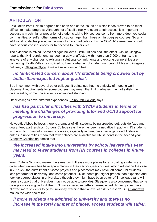### **ARTICULATION**

Articulation from HNs to degrees has been one of the issues on which it has proved to be most difficult to make progress. Although not of itself directly relevant to fair access, it is important because a much higher proportion of students taking HN courses come from more deprived social communities, or suffer other forms of disadvantage, than those on first-degree courses. So any editional obstacles placed in the way of smooth articulation by the COVID-19 emergency could have serious consequences for fair access to universities.

The evidence is mixed. Some colleges believe COVID-19 has had little effect. City of Glasgow reports that HN recruitment has been largely unaffected with more than 7,000 entrants. It is 'unaware of any changes to existing institutional commitments and existing partnerships are continuing'. Forth Valley has noticed no haemorrhaging of student numbers of HNs and integrated pathways. Glasgow Clyde takes a similar view and has

#### *no 'anticipated concern about HN students being crowded out by better-than-expected Higher grades'.*

But, in common with several other colleges, it points out that the difficulty of meeting work placement requirements for some courses may mean that HN graduates may not satisfy the criteria set by some universities for advanced standing.

Other colleges have different experiences. Edinburgh College says it

#### *has had particular difficulties with SWAP students in terms of meeting the challenges of providing tutor and UCAS support for progression to university.*

Newbattle Abbey believes there is a danger of HN students being crowded out, outside fixed and guaranteed partnerships. Borders College says there has been a negative impact on HN students who wish to move onto university courses, especially in care, because larger direct first-year entries in universities mean that fewer places are available for HN students in the second year. Glasgow Caledonian admits that

#### *the increased intake into universities by school leavers this year may lead to fewer students from HN courses in colleges in future years.*

West College Scotland makes the same point. It says more places for articulating students are given when universities have spare places in their second-year courses, which will not be the case in 2021-22; the curtailment of some projects and placements may have left some HN students less prepared for university; and some potential HN students got higher grades than expected and took up degree places in university, although they might have been better off in colleges (and will require support that universities may not be able to provide). Glasgow is also concerned that some colleges may struggle to fill their HN places because better-than-expected Higher grades have allowed more students to go to university, warning that 'a level of risk is present'. But St Andrews makes the wider point that,

#### *if more students are admitted to university and there is no increase in the total number of places, access students will suffer.*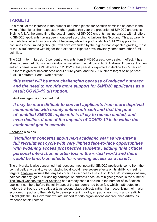### **TARGETS**

As a result of the increase in the number of funded places for Scottish domiciled students in the wake of the higher-than-expected Higher grades this year the proportion of SIMD20 entrants is likely to fall. At the same time the actual number of SIMD20 entrants has increased, with all offers to SIMD20 applicants having been honoured according to Universities Scotland. This, apparently contradictory, effect has come about because, while the pool of eligible SIMD20 applicants continues to be limited (although it will have expanded by the higher-than-expected grades), most of the 'extra' entrants with higher-than-expected Highers have inevitably come from other SIMD quintiles.

The 2021 interim target, 16 per cent of entrants from SIMD20 areas, looks safe. In effect, it has already been met. But some individual universities may fall back. At St Andrews 11 per cent of new entrants came from SIMD20 areas in 2019-20; this year it is expected to decline to 9.5 per cent. But there is greater nervousness about future years, and the 2026 interim target of 18 per cent SIMD20 entrants. Heriot-Watt believes

#### *this target will be more challenging because of reduced outreach and the need to provide more support for SIMD20 applicants as a result COVID-19 disruption.*

St Andrews again is concerned that

*it may be more difficult to convert applicants from more deprived communities with mainly online outreach and that the pool of qualified SIMD20 applicants is likely to remain limited, and even decline, if one of the impacts of COVID-19 is to widen the attainment gap in schools.* 

#### Aberdeen also has

*'significant concerns about next academic year as we enter a full recruitment cycle with very limited face-to-face opportunities with widening access prospective students', adding 'this critical personal interaction is often lost in the virtual world and there could be knock-on effects for widening access as a result'.* 

The university is also concerned that, because most potential SIMD20 applicants come from the central belt, any trend towards 'staying local' could have severe effects on its ability to meet its targets. Glasgow worries that any loss of time in school as a result of COVID-19 interruptions may balance out any 'gain' in widening participation entrants because of higher grades in the summer. The Royal Conservatoire of Scotland had already seen a decline in the number of its Scottish applicant numbers before the full impact of the pandemic had been felt, which it attributes to a rhetoric that treats the creative arts as second-class subjects rather than recognising their major economic impact and their ability to develop listening skills, empathy, team work and creativity. It highlights the UK Government's late support for arts organisations and freelance artists, as evidence of this rhetoric.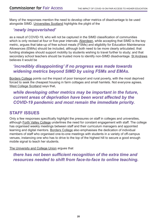Many of the responses mention the need to develop other metrics of disadvantage to be used alongside SIMD. Universities Scotland highlights the plight of the

#### Glasgow *'newly impoverished'*

as a result of COVID-19, who will not be captured in the SIMD classification of communities which is only revised at four or five-year intervals. Aberdeen, while accepting that SIMD is the key metric, argues that take-up of free school meals (FSMs) and eligibility for Education Maintenance Allowances (EMAs) should be included, although both need to be more clearly articulated; that funding strategies should support mobility by students wishing to travel further to study; and that secondary school teachers should be trusted more to identify non-SIMD disadvantage. St Andrews believes it would be

#### *'incredibly disappointing' if no progress was made towards widening metrics beyond SIMD by using FSMs and EMAs.*

Borders College points out the impact of poor transport and rural poverty, with the most deprived forced to seek the cheapest housing in farm cottages and small hamlets. Not everyone agrees. West College Scotland says that,

#### *while developing other metrics may be important in the future, current areas of deprivation have been worst affected by the COVID-19 pandemic and most remain the immediate priority.*

#### **STAFF ISSUES**

Only a few responses specifically highlight the pressures on staff in colleges and universities, although Forth Valley College underlines the need for constant engagement with staff. The college has organised weekly meetings between staff and their curriculum managers and appointed learning and digital mentors. Borders College also emphasises the dedication of individual members of staff who organised one-to-one meetings with students in a variety of off-campus venues, instancing one who has to drive to the top of the highest hill to secure a good enough mobile signal to teach her students.

The University and College Union argues that

*there has not been sufficient recognition of the extra time and resources needed to shift from face-to-face to online teaching.*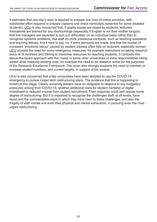It estimates that one day's work is required to prepare one hour of online provision, with substantial effort required to prepare captions and check transcripts (essential for some disabled students). UCU is also concerned that, if quality issues are raised by students, lecturers themselves are blamed for any shortcomings (especially if English is not their mother tongue); an ind that line managers are expected to sort out 'difficulties' on an individual basis rather than to recognise systemic problems; that staff on more precarious contracts, such as teaching assistants and teaching fellows, find it hard to say 'no' if extra demands are made; and that the burden of increased 'emotional labour' caused by student distress often falls on lecturers, especially women. UCU accepts the need for some emergency measures, for example restrictions on taking research leave at St Andrews and Stirling to maximise resources for teaching students. It contrasts this above-the-board approach with the 'creep' in some other universities of extra responsibilities being added while retaining existing ones, for example the need to be research active for the purposes of the Research Excellence Framework. The union also strongly supports the need to maintain or increase student numbers, and current targets, in support of fair access.

UCU is also concerned that a few universities have been tempted to use the COVID-19 emergency to pursue longer-term restructuring plans. The evidence that this is happening is limited at this stage. Clearly university leaders have an obligation to respond to any budgetary pressures arising from COVID-19, whether additional costs for student hardship or digital investment or reduced income from student recruitment. Their response could well require some degree of restructuring. But it is important to recognise the challenges staff, at all levels, have faced and the commendable ways in which they have risen to these challenges, and also the fragility of staff morale and even their physical and mental exhaustion, in pursuing even the most urgent restructuring.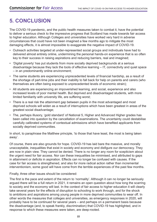#### **5. CONCLUSION** 6th Floor, 5 Atlantic Quay

The COVID-19 pandemic, and the public health measures taken to combat it, have the potential to deliver a serious check to the impressive progress that Scotland has made towards fair access to higher education. Although Colleges and universities have worked very hard in adverse circumstances that could have not been imagined a few months ago to mitigate the most damaging effects, it is almost impossible to exaggerate the negative impact of COVID-19.

- Outreach activities targeted at under-represented social groups and individuals have had to delivered almost entirely online, undermining the personal hands-on experience that is so often key to their success in raising aspirations and reducing barriers, real and imagined;
- 'Digital poverty' has put students from more socially deprived backgrounds at a serious disadvantage because they lack the tools of effective learning – IT, connectivity and quiet space – in an predominantly online environment;
- The same students are experiencing unprecedented levels of financial hardship, as a result of the shortage of part-time jobs and their inability to fall back for help on parents and carers (who themselves are often being exposed to unprecedented levels of economic strain);
- All students are experiencing an impoverished learning, and social, experience and also increased levels of poor mental health. But deprived and disadvantaged students, with more limited familiarity with university life, are suffering worst;
- There is a real risk the attainment gap between pupils in the most advantaged and most deprived schools will widen as a result of interruptions which have been greatest in areas of the greatest social disadvantage;
- The, perhaps illusory, 'gold standard' of National 5, Higher and Advanced Higher grades has been called into question by the cancellation of examinations. The uncertainty could destabilise carefully calibrated systems of contextual admissions which have benefited applicants from socially deprived communities.

In short, to paraphrase the Matthew principle, 'to those that have least, the most is being taken away'.

Of course, there are also grounds for hope. COVID-19 has laid bare the massive, and morally unacceptable, inequalities that exist in society and economy and disfigure our democracy. They are now in plain view. They cannot be denied. There is no longer any room for scepticism about the urgent need for fair access. Nor can these inequalities be minimised, and attributed to gaps in attainment or deficits in aspiration. Effects can no longer be confused with causes. If the case for fair access is strengthened, and also for more radical action rather than incremental interventionism, some good will have come from the terrible experiences of the past few months.

Finally, three other issues should be considered:

The first is the pace and extent of the return to 'normality'. Although it can no longer be seriously argued there will be a full return in 2021, it remains an open question about how long the scarring to society and the economy will last. In the context of fair access to higher education it will clearly take several years for the effects of disruption to schooling to work through, and for the shock to ambitions and aspirations among young people in more deprived communities to wear off. In other words the measures that colleges and universities, as emergency responses in 2020, will probably have to be continued for several years – and perhaps on a permanent basis because the disadvantage (and, to speak frankly, discrimination) that COVID-19 has highlighted, and in response to which these measures were taken, are deep-rooted.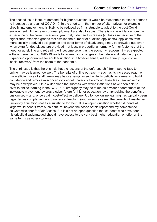The second issue is future demand for higher education. It would be reasonable to expect demand to increase as a result of COVID-19. In the short term the number of alternatives, for example directly into employment, is likely to be reduced as firms struggle to adapt to the post-Covid environment. Higher levels of unemployment are also forecast. There is some evidence from the  $C^{2}$ experience of the current academic year that, if demand increases (in this case because of the higher-than-expected grades that swelled the number of qualified applicants), applicants from more socially deprived backgrounds and other forms of disadvantage may be crowded out, even when extra funded places are provided – at least in proportional terms. A further factor is that the need for up-skilling and retraining will become urgent as the economy recovers, if – as expected – the experience of COVID-19 leads to far reaching changes in the nature and balance of jobs. Expanding opportunities for adult education, in a broader sense, will be equally urgent to aid 'social recovery' from the scars of the pandemic.

The third issue is that there is risk that the lessons of the enforced shift from face-to-face to online may be learned too well. The benefits of online outreach – such as its increased reach or more efficient use of staff time – may be over-emphasised while its deficits as a means to build confidence and remove misconceptions about university life among those least familiar with it may be downplayed. On a wider plane the success with which institutions have been able to pivot to online learning in the COVID-19 emergency may be taken as a wider endorsement of the inexorable movement towards a cyber future for higher education, by emphasising the benefits of customised – and, once again, cost-effective delivery. Up to now online learning has typically been regarded as complementary to in-person teaching (and, in some cases, the benefits of residential university education) not as a substitute for them. It is an open question whether students at large would benefit from such a future, beyond the scope of this report and my competence as Commissioner for Fair Access. But it is not an open question that students who have been historically disadvantaged should have access to the very best higher education on offer on the same terms as other students.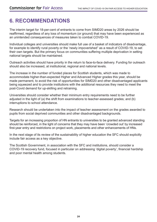#### **6. RECOMMENDATIONS**  $\ddotsc$   $\ddotsc$   $\ddotsc$   $\ddotsc$

 $\overline{\phantom{a}}$  gov.scot $\overline{\phantom{a}}$  and  $\overline{\phantom{a}}$  and  $\overline{\phantom{a}}$  and  $\overline{\phantom{a}}$ 

The interim target for 18-per-cent of entrants to come from SIMD20 areas by 2026 should be reaffirmed, regardless of any loss of momentum (or ground) that may have been experienced as ances of meas an unintended consequences of measures taken to combat COVID-19.

Individual colleges and universities should make full use of a basket of indicators of disadvantage, for example to identify rural poverty or the 'newly impoverished" as a result of COVID-19, to set their own targets. But the primary focus on communities suffering multiple deprivation in setting national targets should be maintained.

Outreach activities should have priority in the return to face-to-face delivery. Funding for outreach should also be increased, at institutional, regional and national levels.

The increase in the number of funded places for Scottish students, which was made to accommodate higher-than-expected Higher and Advanced Higher grades this year, should be made permanent, to avoid the risk of opportunities for SIMD20 and other disadvantaged applicants being squeezed and to provide institutions with the additional resources they need to meet the post-Covid demand for up-skilling and retraining.

Universities should consider whether their minimum entry requirements need to be further adjusted in the light of (a) the shift from examinations to teacher-assessed grades; and (b) interruptions to school attendance.

Research should be undertaken into the impact of teacher assessment on the grades awarded to pupils from social deprived communities and other disadvantaged backgrounds.

Targets for an increasing proportion of HN entrants to universities to be granted advanced standing should be reinforced, in the light of concerns that they may have been 'crowded out' by increased first-year entry and restrictions on project work, placements and other enhancements of HNs.

In the next stage of its review of the sustainability of higher education the SFC should explicitly include fair access as a key objective.

The Scottish Government, in association with the SFC and institutions, should consider a COVID-19 recovery fund, focused in particular on addressing 'digital poverty', financial hardship and poor mental health among students.